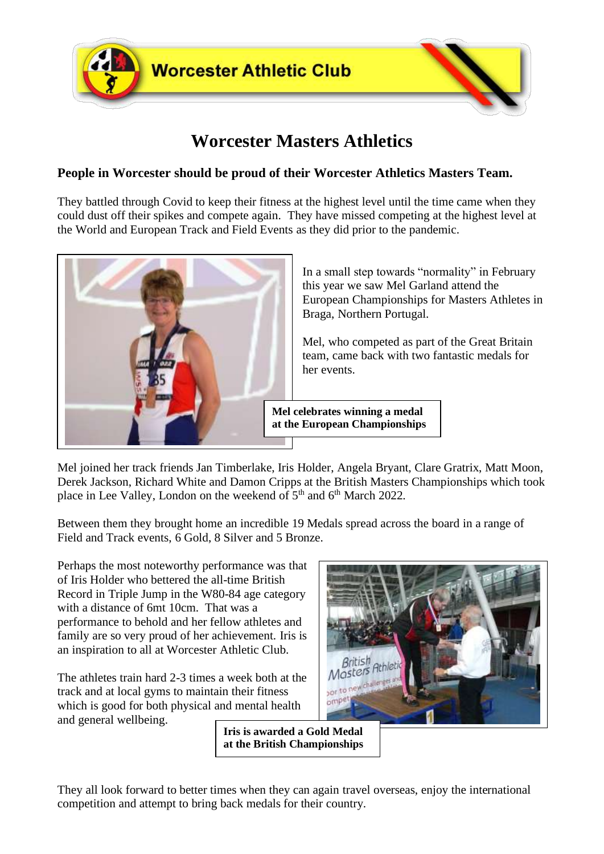

# **Worcester Masters Athletics**

## **People in Worcester should be proud of their Worcester Athletics Masters Team.**

They battled through Covid to keep their fitness at the highest level until the time came when they could dust off their spikes and compete again. They have missed competing at the highest level at the World and European Track and Field Events as they did prior to the pandemic.



In a small step towards "normality" in February this year we saw Mel Garland attend the European Championships for Masters Athletes in Braga, Northern Portugal.

Mel, who competed as part of the Great Britain team, came back with two fantastic medals for her events.

**Mel celebrates winning a medal at the European Championships**

Mel joined her track friends Jan Timberlake, Iris Holder, Angela Bryant, Clare Gratrix, Matt Moon, Derek Jackson, Richard White and Damon Cripps at the British Masters Championships which took place in Lee Valley, London on the weekend of  $5<sup>th</sup>$  and  $6<sup>th</sup>$  March 2022.

Between them they brought home an incredible 19 Medals spread across the board in a range of Field and Track events, 6 Gold, 8 Silver and 5 Bronze.

Perhaps the most noteworthy performance was that of Iris Holder who bettered the all-time British Record in Triple Jump in the W80-84 age category with a distance of 6mt 10cm. That was a performance to behold and her fellow athletes and family are so very proud of her achievement. Iris is an inspiration to all at Worcester Athletic Club.

The athletes train hard 2-3 times a week both at the track and at local gyms to maintain their fitness which is good for both physical and mental health and general wellbeing.



**Iris is awarded a Gold Medal at the British Championships**

They all look forward to better times when they can again travel overseas, enjoy the international competition and attempt to bring back medals for their country.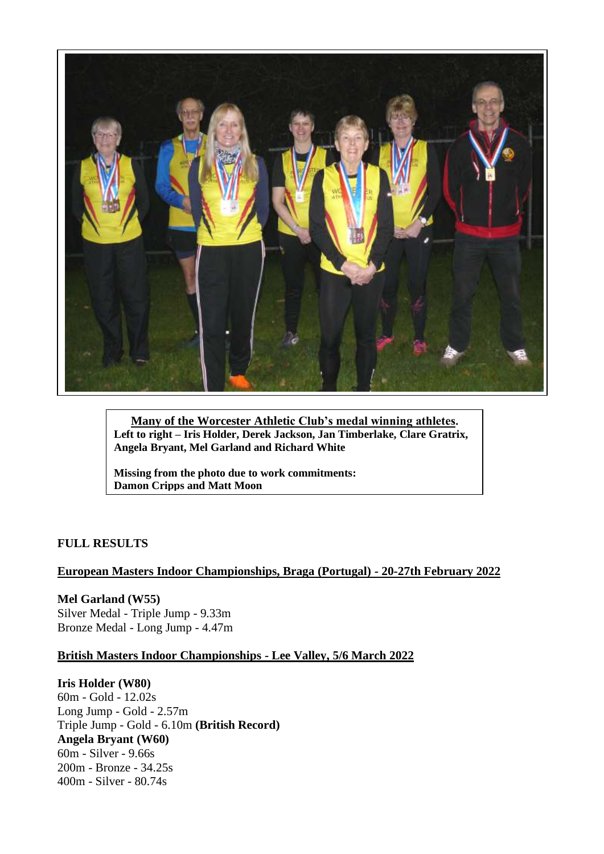

**Many of the Worcester Athletic Club's medal winning athletes. Left to right – Iris Holder, Derek Jackson, Jan Timberlake, Clare Gratrix, Angela Bryant, Mel Garland and Richard White**

**Missing from the photo due to work commitments: Damon Cripps and Matt Moon**

#### **FULL RESULTS**

#### **European Masters Indoor Championships, Braga (Portugal) - 20-27th February 2022**

**Mel Garland (W55)** Silver Medal - Triple Jump - 9.33m Bronze Medal - Long Jump - 4.47m

#### **British Masters Indoor Championships - Lee Valley, 5/6 March 2022**

#### **Iris Holder (W80)**

60m - Gold - 12.02s Long Jump - Gold - 2.57m Triple Jump - Gold - 6.10m **(British Record) Angela Bryant (W60)** 60m - Silver - 9.66s 200m - Bronze - 34.25s 400m - Silver - 80.74s